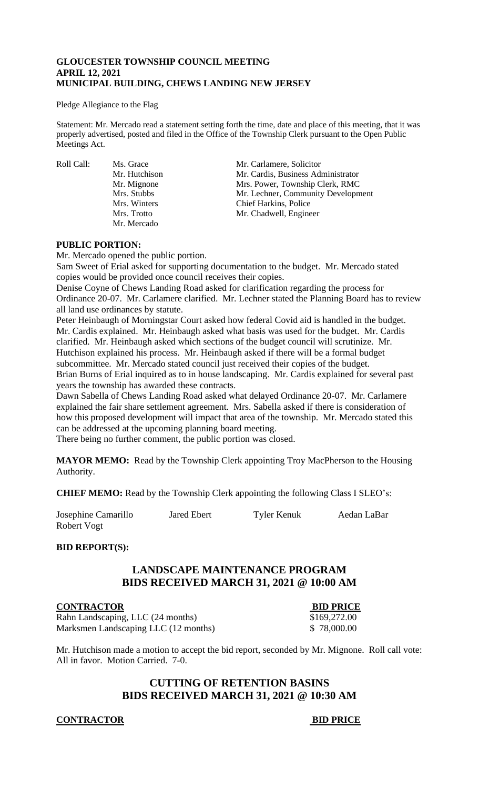## **GLOUCESTER TOWNSHIP COUNCIL MEETING APRIL 12, 2021 MUNICIPAL BUILDING, CHEWS LANDING NEW JERSEY**

#### Pledge Allegiance to the Flag

Statement: Mr. Mercado read a statement setting forth the time, date and place of this meeting, that it was properly advertised, posted and filed in the Office of the Township Clerk pursuant to the Open Public Meetings Act.

Mr. Mercado

Roll Call: Ms. Grace Mr. Carlamere, Solicitor<br>Mr. Hutchison Mr. Cardis, Business Adı Mr. Hutchison Mr. Cardis, Business Administrator<br>Mr. Mignone Mrs. Power, Township Clerk, RMC Mr. Mignone Mrs. Power, Township Clerk, RMC Mrs. Stubbs Mr. Lechner, Community Development Mrs. Winters Chief Harkins, Police Mrs. Trotto Mr. Chadwell, Engineer

## **PUBLIC PORTION:**

Mr. Mercado opened the public portion.

Sam Sweet of Erial asked for supporting documentation to the budget. Mr. Mercado stated copies would be provided once council receives their copies.

Denise Coyne of Chews Landing Road asked for clarification regarding the process for Ordinance 20-07. Mr. Carlamere clarified. Mr. Lechner stated the Planning Board has to review all land use ordinances by statute.

Peter Heinbaugh of Morningstar Court asked how federal Covid aid is handled in the budget. Mr. Cardis explained. Mr. Heinbaugh asked what basis was used for the budget. Mr. Cardis clarified. Mr. Heinbaugh asked which sections of the budget council will scrutinize. Mr. Hutchison explained his process. Mr. Heinbaugh asked if there will be a formal budget subcommittee. Mr. Mercado stated council just received their copies of the budget. Brian Burns of Erial inquired as to in house landscaping. Mr. Cardis explained for several past years the township has awarded these contracts.

Dawn Sabella of Chews Landing Road asked what delayed Ordinance 20-07. Mr. Carlamere explained the fair share settlement agreement. Mrs. Sabella asked if there is consideration of how this proposed development will impact that area of the township. Mr. Mercado stated this can be addressed at the upcoming planning board meeting.

There being no further comment, the public portion was closed.

**MAYOR MEMO:** Read by the Township Clerk appointing Troy MacPherson to the Housing Authority.

**CHIEF MEMO:** Read by the Township Clerk appointing the following Class I SLEO's:

| Josephine Camarillo | Jared Ebert | Tyler Kenuk | Aedan LaBar |
|---------------------|-------------|-------------|-------------|
| Robert Vogt         |             |             |             |

## **BID REPORT(S):**

# **LANDSCAPE MAINTENANCE PROGRAM BIDS RECEIVED MARCH 31, 2021 @ 10:00 AM**

**CONTRACTOR BID PRICE** Rahn Landscaping, LLC (24 months) \$169,272.00 Marksmen Landscaping LLC (12 months)  $$78,000.00$ 

Mr. Hutchison made a motion to accept the bid report, seconded by Mr. Mignone. Roll call vote: All in favor. Motion Carried. 7-0.

# **CUTTING OF RETENTION BASINS BIDS RECEIVED MARCH 31, 2021 @ 10:30 AM**

## **CONTRACTOR BID PRICE**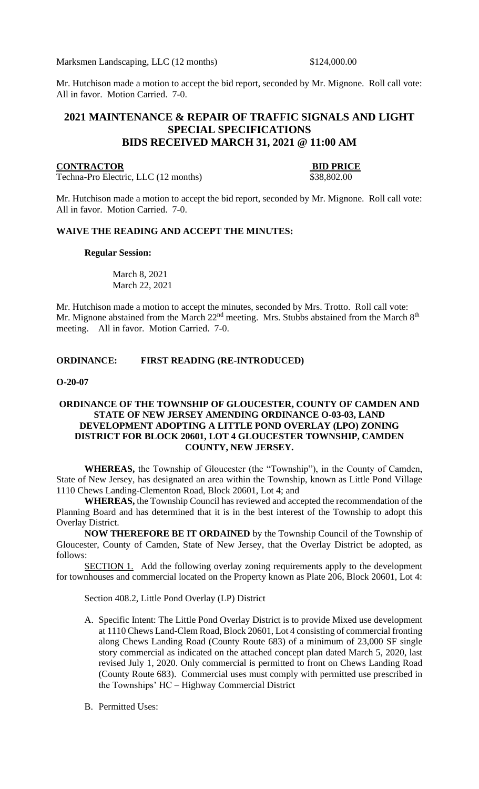Marksmen Landscaping, LLC (12 months) \$124,000.00

Mr. Hutchison made a motion to accept the bid report, seconded by Mr. Mignone. Roll call vote: All in favor. Motion Carried. 7-0.

# **2021 MAINTENANCE & REPAIR OF TRAFFIC SIGNALS AND LIGHT SPECIAL SPECIFICATIONS BIDS RECEIVED MARCH 31, 2021 @ 11:00 AM**

## **CONTRACTOR BID PRICE**

Techna-Pro Electric, LLC (12 months)  $\overline{$}38,802.00$ 

Mr. Hutchison made a motion to accept the bid report, seconded by Mr. Mignone. Roll call vote: All in favor. Motion Carried. 7-0.

#### **WAIVE THE READING AND ACCEPT THE MINUTES:**

#### **Regular Session:**

March 8, 2021 March 22, 2021

Mr. Hutchison made a motion to accept the minutes, seconded by Mrs. Trotto. Roll call vote: Mr. Mignone abstained from the March  $22<sup>nd</sup>$  meeting. Mrs. Stubbs abstained from the March  $8<sup>th</sup>$ meeting. All in favor. Motion Carried. 7-0.

## **ORDINANCE: FIRST READING (RE-INTRODUCED)**

#### **O-20-07**

## **ORDINANCE OF THE TOWNSHIP OF GLOUCESTER, COUNTY OF CAMDEN AND STATE OF NEW JERSEY AMENDING ORDINANCE O-03-03, LAND DEVELOPMENT ADOPTING A LITTLE POND OVERLAY (LPO) ZONING DISTRICT FOR BLOCK 20601, LOT 4 GLOUCESTER TOWNSHIP, CAMDEN COUNTY, NEW JERSEY.**

**WHEREAS,** the Township of Gloucester (the "Township"), in the County of Camden, State of New Jersey, has designated an area within the Township, known as Little Pond Village 1110 Chews Landing-Clementon Road, Block 20601, Lot 4; and

**WHEREAS,** the Township Council has reviewed and accepted the recommendation of the Planning Board and has determined that it is in the best interest of the Township to adopt this Overlay District.

**NOW THEREFORE BE IT ORDAINED** by the Township Council of the Township of Gloucester, County of Camden, State of New Jersey, that the Overlay District be adopted, as follows:

SECTION 1. Add the following overlay zoning requirements apply to the development for townhouses and commercial located on the Property known as Plate 206, Block 20601, Lot 4:

Section 408.2, Little Pond Overlay (LP) District

- A. Specific Intent: The Little Pond Overlay District is to provide Mixed use development at 1110 Chews Land-Clem Road, Block 20601, Lot 4 consisting of commercial fronting along Chews Landing Road (County Route 683) of a minimum of 23,000 SF single story commercial as indicated on the attached concept plan dated March 5, 2020, last revised July 1, 2020. Only commercial is permitted to front on Chews Landing Road (County Route 683). Commercial uses must comply with permitted use prescribed in the Townships' HC – Highway Commercial District
- B. Permitted Uses: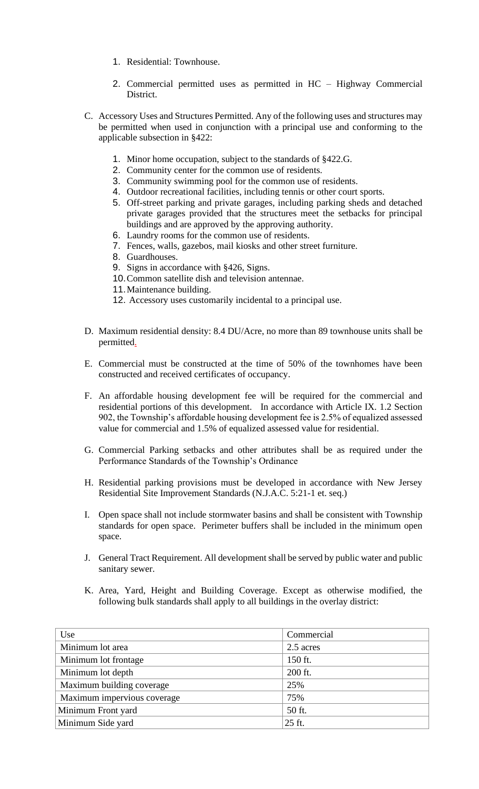- 1. Residential: Townhouse.
- 2. Commercial permitted uses as permitted in HC Highway Commercial District.
- C. Accessory Uses and Structures Permitted. Any of the following uses and structures may be permitted when used in conjunction with a principal use and conforming to the applicable subsection in §422:
	- 1. Minor home occupation, subject to the standards of §422.G.
	- 2. Community center for the common use of residents.
	- 3. Community swimming pool for the common use of residents.
	- 4. Outdoor recreational facilities, including tennis or other court sports.
	- 5. Off-street parking and private garages, including parking sheds and detached private garages provided that the structures meet the setbacks for principal buildings and are approved by the approving authority.
	- 6. Laundry rooms for the common use of residents.
	- 7. Fences, walls, gazebos, mail kiosks and other street furniture.
	- 8. Guardhouses.
	- 9. Signs in accordance with §426, Signs.
	- 10.Common satellite dish and television antennae.
	- 11.Maintenance building.
	- 12. Accessory uses customarily incidental to a principal use.
- D. Maximum residential density: 8.4 DU/Acre, no more than 89 townhouse units shall be permitted.
- E. Commercial must be constructed at the time of 50% of the townhomes have been constructed and received certificates of occupancy.
- F. An affordable housing development fee will be required for the commercial and residential portions of this development. In accordance with Article IX. 1.2 Section 902, the Township's affordable housing development fee is 2.5% of equalized assessed value for commercial and 1.5% of equalized assessed value for residential.
- G. Commercial Parking setbacks and other attributes shall be as required under the Performance Standards of the Township's Ordinance
- H. Residential parking provisions must be developed in accordance with New Jersey Residential Site Improvement Standards (N.J.A.C. 5:21-1 et. seq.)
- I. Open space shall not include stormwater basins and shall be consistent with Township standards for open space. Perimeter buffers shall be included in the minimum open space.
- J. General Tract Requirement. All development shall be served by public water and public sanitary sewer.
- K. Area, Yard, Height and Building Coverage. Except as otherwise modified, the following bulk standards shall apply to all buildings in the overlay district:

| Use                         | Commercial |
|-----------------------------|------------|
| Minimum lot area            | 2.5 acres  |
| Minimum lot frontage        | 150 ft.    |
| Minimum lot depth           | 200 ft.    |
| Maximum building coverage   | 25%        |
| Maximum impervious coverage | 75%        |
| Minimum Front yard          | 50 ft.     |
| Minimum Side yard           | 25 ft.     |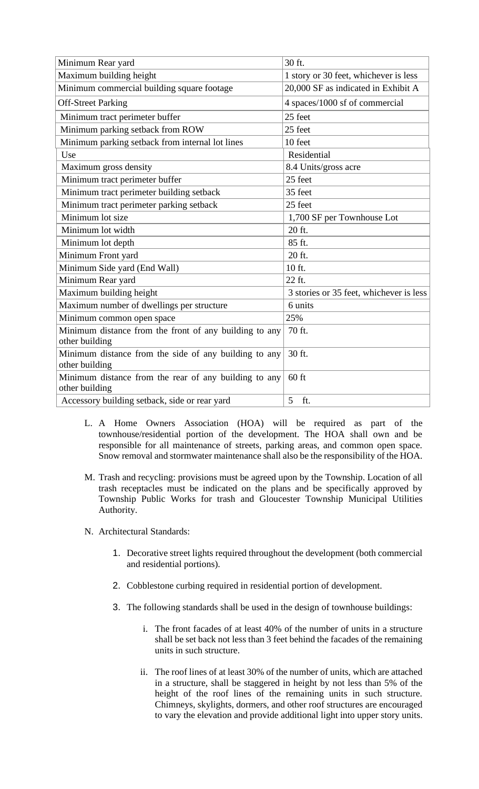| Minimum Rear yard                                                       | 30 ft.                                  |  |
|-------------------------------------------------------------------------|-----------------------------------------|--|
| Maximum building height                                                 | 1 story or 30 feet, whichever is less   |  |
| Minimum commercial building square footage                              | 20,000 SF as indicated in Exhibit A     |  |
| <b>Off-Street Parking</b>                                               | 4 spaces/1000 sf of commercial          |  |
| Minimum tract perimeter buffer                                          | 25 feet                                 |  |
| Minimum parking setback from ROW                                        | 25 feet                                 |  |
| Minimum parking setback from internal lot lines                         | 10 feet                                 |  |
| Use                                                                     | Residential                             |  |
| Maximum gross density                                                   | 8.4 Units/gross acre                    |  |
| Minimum tract perimeter buffer                                          | 25 feet                                 |  |
| Minimum tract perimeter building setback                                | 35 feet                                 |  |
| Minimum tract perimeter parking setback                                 | 25 feet                                 |  |
| Minimum lot size                                                        | 1,700 SF per Townhouse Lot              |  |
| Minimum lot width                                                       | 20 ft.                                  |  |
| Minimum lot depth                                                       | 85 ft.                                  |  |
| Minimum Front yard                                                      | 20 ft.                                  |  |
| Minimum Side yard (End Wall)                                            | 10 ft.                                  |  |
| Minimum Rear yard                                                       | 22 ft.                                  |  |
| Maximum building height                                                 | 3 stories or 35 feet, whichever is less |  |
| Maximum number of dwellings per structure                               | 6 units                                 |  |
| Minimum common open space                                               | 25%                                     |  |
| Minimum distance from the front of any building to any                  | 70 ft.                                  |  |
| other building                                                          |                                         |  |
| Minimum distance from the side of any building to any<br>other building | 30 ft.                                  |  |
| Minimum distance from the rear of any building to any<br>other building | $60$ ft                                 |  |
| Accessory building setback, side or rear yard                           | 5<br>ft.                                |  |

- L. A Home Owners Association (HOA) will be required as part of the townhouse/residential portion of the development. The HOA shall own and be responsible for all maintenance of streets, parking areas, and common open space. Snow removal and stormwater maintenance shall also be the responsibility of the HOA.
- M. Trash and recycling: provisions must be agreed upon by the Township. Location of all trash receptacles must be indicated on the plans and be specifically approved by Township Public Works for trash and Gloucester Township Municipal Utilities Authority.
- N. Architectural Standards:
	- 1. Decorative street lights required throughout the development (both commercial and residential portions).
	- 2. Cobblestone curbing required in residential portion of development.
	- 3. The following standards shall be used in the design of townhouse buildings:
		- i. The front facades of at least 40% of the number of units in a structure shall be set back not less than 3 feet behind the facades of the remaining units in such structure.
		- ii. The roof lines of at least 30% of the number of units, which are attached in a structure, shall be staggered in height by not less than 5% of the height of the roof lines of the remaining units in such structure. Chimneys, skylights, dormers, and other roof structures are encouraged to vary the elevation and provide additional light into upper story units.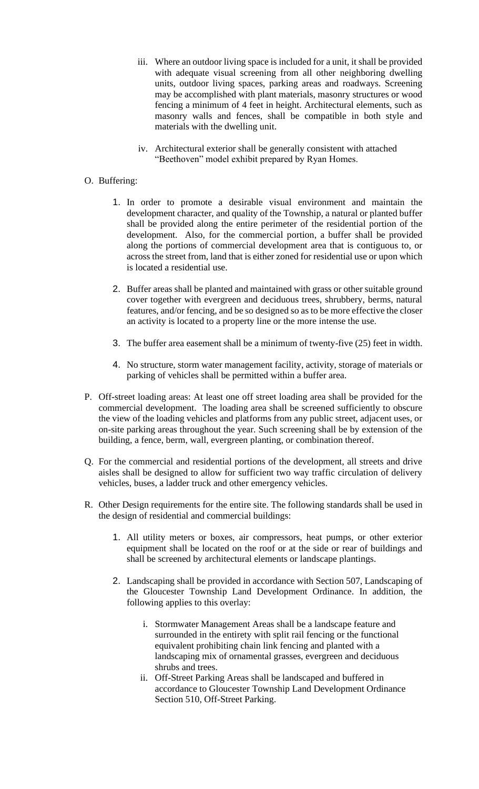- iii. Where an outdoor living space is included for a unit, it shall be provided with adequate visual screening from all other neighboring dwelling units, outdoor living spaces, parking areas and roadways. Screening may be accomplished with plant materials, masonry structures or wood fencing a minimum of 4 feet in height. Architectural elements, such as masonry walls and fences, shall be compatible in both style and materials with the dwelling unit.
- iv. Architectural exterior shall be generally consistent with attached "Beethoven" model exhibit prepared by Ryan Homes.

## O. Buffering:

- 1. In order to promote a desirable visual environment and maintain the development character, and quality of the Township, a natural or planted buffer shall be provided along the entire perimeter of the residential portion of the development. Also, for the commercial portion, a buffer shall be provided along the portions of commercial development area that is contiguous to, or across the street from, land that is either zoned for residential use or upon which is located a residential use.
- 2. Buffer areas shall be planted and maintained with grass or other suitable ground cover together with evergreen and deciduous trees, shrubbery, berms, natural features, and/or fencing, and be so designed so as to be more effective the closer an activity is located to a property line or the more intense the use.
- 3. The buffer area easement shall be a minimum of twenty-five (25) feet in width.
- 4. No structure, storm water management facility, activity, storage of materials or parking of vehicles shall be permitted within a buffer area.
- P. Off-street loading areas: At least one off street loading area shall be provided for the commercial development. The loading area shall be screened sufficiently to obscure the view of the loading vehicles and platforms from any public street, adjacent uses, or on-site parking areas throughout the year. Such screening shall be by extension of the building, a fence, berm, wall, evergreen planting, or combination thereof.
- Q. For the commercial and residential portions of the development, all streets and drive aisles shall be designed to allow for sufficient two way traffic circulation of delivery vehicles, buses, a ladder truck and other emergency vehicles.
- R. Other Design requirements for the entire site. The following standards shall be used in the design of residential and commercial buildings:
	- 1. All utility meters or boxes, air compressors, heat pumps, or other exterior equipment shall be located on the roof or at the side or rear of buildings and shall be screened by architectural elements or landscape plantings.
	- 2. Landscaping shall be provided in accordance with Section 507, Landscaping of the Gloucester Township Land Development Ordinance. In addition, the following applies to this overlay:
		- i. Stormwater Management Areas shall be a landscape feature and surrounded in the entirety with split rail fencing or the functional equivalent prohibiting chain link fencing and planted with a landscaping mix of ornamental grasses, evergreen and deciduous shrubs and trees.
		- ii. Off-Street Parking Areas shall be landscaped and buffered in accordance to Gloucester Township Land Development Ordinance Section 510, Off-Street Parking.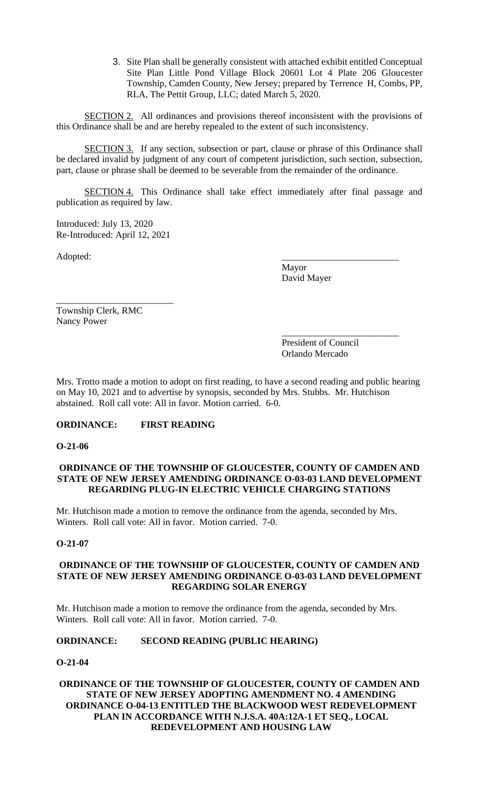3. Site Plan shall be generally consistent with attached exhibit entitled Conceptual Site Plan Little Pond Village Block 20601 Lot 4 Plate 206 Gloucester Township, Camden County, New Jersey; prepared by Terrence H, Combs, PP, RLA, The Pettit Group, LLC; dated March 5, 2020.

SECTION 2. All ordinances and provisions thereof inconsistent with the provisions of this Ordinance shall be and are hereby repealed to the extent of such inconsistency.

SECTION 3. If any section, subsection or part, clause or phrase of this Ordinance shall be declared invalid by judgment of any court of competent jurisdiction, such section, subsection, part, clause or phrase shall be deemed to be severable from the remainder of the ordinance.

SECTION 4. This Ordinance shall take effect immediately after final passage and publication as required by law.

Introduced: July 13, 2020 Re-Introduced: April 12, 2021

\_\_\_\_\_\_\_\_\_\_\_\_\_\_\_\_\_\_\_\_\_\_\_\_\_

Adopted: \_\_\_\_\_\_\_\_\_\_\_\_\_\_\_\_\_\_\_\_\_\_\_\_\_

Mayor David Mayer

Township Clerk, RMC Nancy Power

> \_\_\_\_\_\_\_\_\_\_\_\_\_\_\_\_\_\_\_\_\_\_\_\_\_ President of Council Orlando Mercado

Mrs. Trotto made a motion to adopt on first reading, to have a second reading and public hearing on May 10, 2021 and to advertise by synopsis, seconded by Mrs. Stubbs. Mr. Hutchison abstained. Roll call vote: All in favor. Motion carried. 6-0.

# **ORDINANCE: FIRST READING**

**O-21-06**

## **ORDINANCE OF THE TOWNSHIP OF GLOUCESTER, COUNTY OF CAMDEN AND STATE OF NEW JERSEY AMENDING ORDINANCE O-03-03 LAND DEVELOPMENT REGARDING PLUG-IN ELECTRIC VEHICLE CHARGING STATIONS**

Mr. Hutchison made a motion to remove the ordinance from the agenda, seconded by Mrs. Winters. Roll call vote: All in favor. Motion carried. 7-0.

## **O-21-07**

## **ORDINANCE OF THE TOWNSHIP OF GLOUCESTER, COUNTY OF CAMDEN AND STATE OF NEW JERSEY AMENDING ORDINANCE O-03-03 LAND DEVELOPMENT REGARDING SOLAR ENERGY**

Mr. Hutchison made a motion to remove the ordinance from the agenda, seconded by Mrs. Winters. Roll call vote: All in favor. Motion carried. 7-0.

## **ORDINANCE: SECOND READING (PUBLIC HEARING)**

## **O-21-04**

## **ORDINANCE OF THE TOWNSHIP OF GLOUCESTER, COUNTY OF CAMDEN AND STATE OF NEW JERSEY ADOPTING AMENDMENT NO. 4 AMENDING ORDINANCE O-04-13 ENTITLED THE BLACKWOOD WEST REDEVELOPMENT PLAN IN ACCORDANCE WITH N.J.S.A. 40A:12A-1 ET SEQ., LOCAL REDEVELOPMENT AND HOUSING LAW**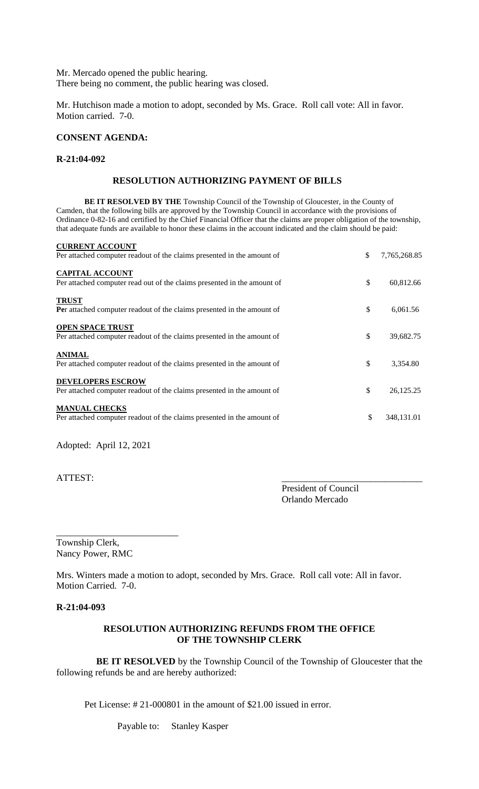Mr. Mercado opened the public hearing. There being no comment, the public hearing was closed.

Mr. Hutchison made a motion to adopt, seconded by Ms. Grace. Roll call vote: All in favor. Motion carried. 7-0.

## **CONSENT AGENDA:**

#### **R-21:04-092**

## **RESOLUTION AUTHORIZING PAYMENT OF BILLS**

**BE IT RESOLVED BY THE** Township Council of the Township of Gloucester, in the County of Camden, that the following bills are approved by the Township Council in accordance with the provisions of Ordinance 0-82-16 and certified by the Chief Financial Officer that the claims are proper obligation of the township, that adequate funds are available to honor these claims in the account indicated and the claim should be paid:

| <b>CURRENT ACCOUNT</b><br>Per attached computer readout of the claims presented in the amount of   | \$<br>7,765,268.85 |
|----------------------------------------------------------------------------------------------------|--------------------|
| <b>CAPITAL ACCOUNT</b><br>Per attached computer read out of the claims presented in the amount of  | \$<br>60,812.66    |
| <b>TRUST</b><br><b>Per</b> attached computer readout of the claims presented in the amount of      | \$<br>6,061.56     |
| <b>OPEN SPACE TRUST</b><br>Per attached computer readout of the claims presented in the amount of  | \$<br>39,682.75    |
| <b>ANIMAL</b><br>Per attached computer readout of the claims presented in the amount of            | \$<br>3,354.80     |
| <b>DEVELOPERS ESCROW</b><br>Per attached computer readout of the claims presented in the amount of | \$<br>26,125.25    |
| <b>MANUAL CHECKS</b><br>Per attached computer readout of the claims presented in the amount of     | \$<br>348,131.01   |

Adopted: April 12, 2021

ATTEST:

President of Council Orlando Mercado

Township Clerk, Nancy Power, RMC

\_\_\_\_\_\_\_\_\_\_\_\_\_\_\_\_\_\_\_\_\_\_\_\_\_\_

Mrs. Winters made a motion to adopt, seconded by Mrs. Grace. Roll call vote: All in favor. Motion Carried. 7-0.

#### **R-21:04-093**

## **RESOLUTION AUTHORIZING REFUNDS FROM THE OFFICE OF THE TOWNSHIP CLERK**

 **BE IT RESOLVED** by the Township Council of the Township of Gloucester that the following refunds be and are hereby authorized:

Pet License: # 21-000801 in the amount of \$21.00 issued in error.

Payable to: Stanley Kasper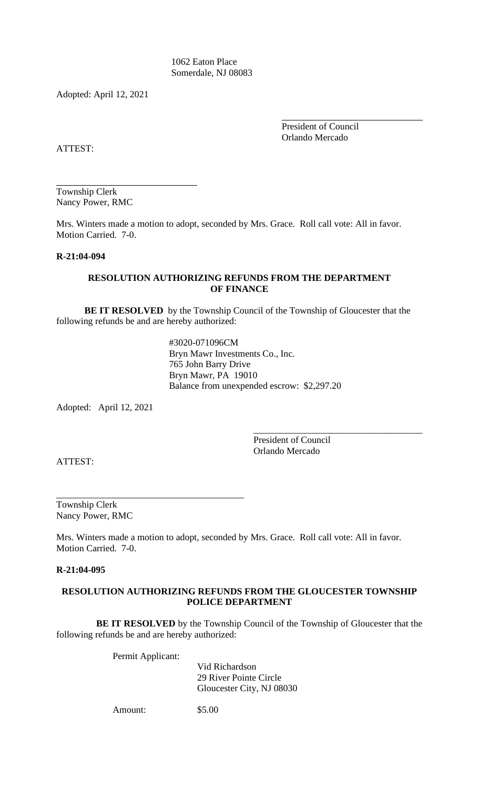1062 Eaton Place Somerdale, NJ 08083

Adopted: April 12, 2021

President of Council Orlando Mercado

ATTEST:

Township Clerk Nancy Power, RMC

Mrs. Winters made a motion to adopt, seconded by Mrs. Grace. Roll call vote: All in favor. Motion Carried. 7-0.

## **R-21:04-094**

## **RESOLUTION AUTHORIZING REFUNDS FROM THE DEPARTMENT OF FINANCE**

**BE IT RESOLVED** by the Township Council of the Township of Gloucester that the following refunds be and are hereby authorized:

> #3020-071096CM Bryn Mawr Investments Co., Inc. 765 John Barry Drive Bryn Mawr, PA 19010 Balance from unexpended escrow: \$2,297.20

Adopted: April 12, 2021

President of Council Orlando Mercado

\_\_\_\_\_\_\_\_\_\_\_\_\_\_\_\_\_\_\_\_\_\_\_\_\_\_\_\_\_\_\_\_\_\_\_\_

ATTEST:

Township Clerk Nancy Power, RMC

Mrs. Winters made a motion to adopt, seconded by Mrs. Grace. Roll call vote: All in favor. Motion Carried. 7-0.

#### **R-21:04-095**

## **RESOLUTION AUTHORIZING REFUNDS FROM THE GLOUCESTER TOWNSHIP POLICE DEPARTMENT**

 **BE IT RESOLVED** by the Township Council of the Township of Gloucester that the following refunds be and are hereby authorized:

Permit Applicant:

\_\_\_\_\_\_\_\_\_\_\_\_\_\_\_\_\_\_\_\_\_\_\_\_\_\_\_\_\_\_\_\_\_\_\_\_\_\_\_\_

Vid Richardson 29 River Pointe Circle Gloucester City, NJ 08030

Amount: \$5.00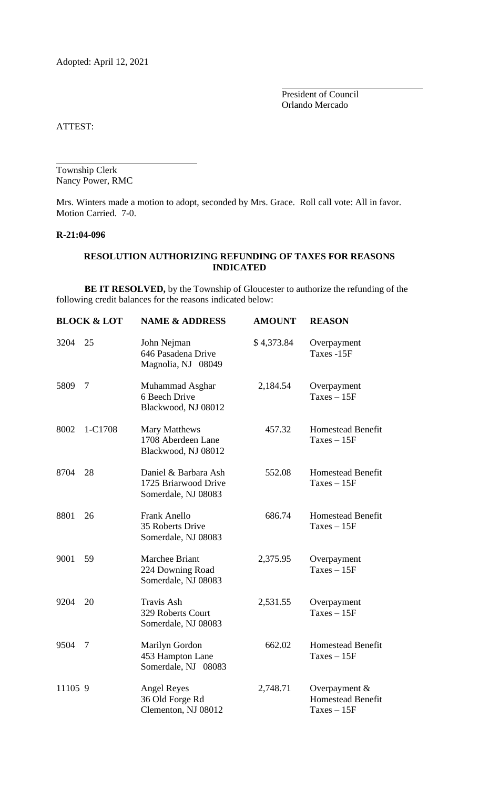Adopted: April 12, 2021

President of Council Orlando Mercado

ATTEST:

Township Clerk Nancy Power, RMC

Mrs. Winters made a motion to adopt, seconded by Mrs. Grace. Roll call vote: All in favor. Motion Carried. 7-0.

## **R-21:04-096**

## **RESOLUTION AUTHORIZING REFUNDING OF TAXES FOR REASONS INDICATED**

**BE IT RESOLVED,** by the Township of Gloucester to authorize the refunding of the following credit balances for the reasons indicated below:

|         | <b>BLOCK &amp; LOT</b> | <b>NAME &amp; ADDRESS</b>                                           | <b>AMOUNT</b> | <b>REASON</b>                                                |
|---------|------------------------|---------------------------------------------------------------------|---------------|--------------------------------------------------------------|
| 3204    | 25                     | John Nejman<br>646 Pasadena Drive<br>Magnolia, NJ 08049             | \$4,373.84    | Overpayment<br>Taxes -15F                                    |
| 5809    | 7                      | Muhammad Asghar<br>6 Beech Drive<br>Blackwood, NJ 08012             | 2,184.54      | Overpayment<br>$Taxes - 15F$                                 |
| 8002    | 1-C1708                | Mary Matthews<br>1708 Aberdeen Lane<br>Blackwood, NJ 08012          | 457.32        | <b>Homestead Benefit</b><br>$Taxes - 15F$                    |
| 8704    | 28                     | Daniel & Barbara Ash<br>1725 Briarwood Drive<br>Somerdale, NJ 08083 | 552.08        | Homestead Benefit<br>$Taxes - 15F$                           |
| 8801    | 26                     | Frank Anello<br>35 Roberts Drive<br>Somerdale, NJ 08083             | 686.74        | <b>Homestead Benefit</b><br>$Taxes - 15F$                    |
| 9001    | 59                     | Marchee Briant<br>224 Downing Road<br>Somerdale, NJ 08083           | 2,375.95      | Overpayment<br>$Taxes - 15F$                                 |
| 9204    | 20                     | <b>Travis Ash</b><br>329 Roberts Court<br>Somerdale, NJ 08083       | 2,531.55      | Overpayment<br>$Taxes - 15F$                                 |
| 9504    | $\overline{7}$         | Marilyn Gordon<br>453 Hampton Lane<br>Somerdale, NJ 08083           | 662.02        | <b>Homestead Benefit</b><br>$Taxes - 15F$                    |
| 11105 9 |                        | <b>Angel Reyes</b><br>36 Old Forge Rd<br>Clementon, NJ 08012        | 2,748.71      | Overpayment $&$<br><b>Homestead Benefit</b><br>$Taxes - 15F$ |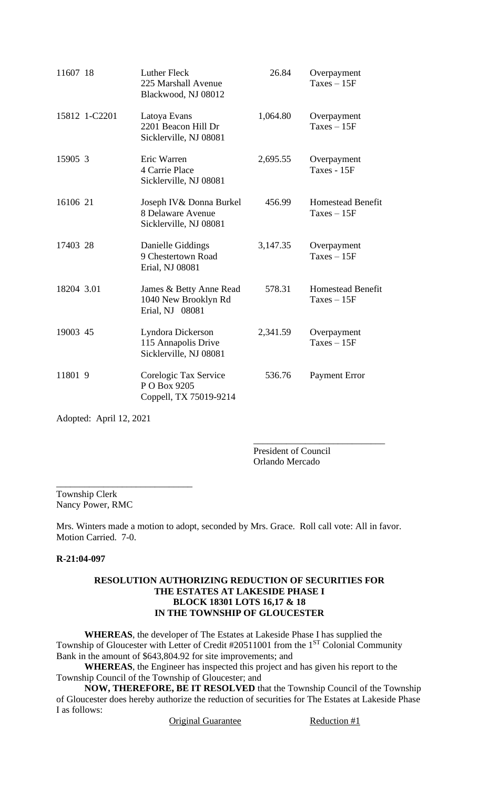| 11607 18   |               | <b>Luther Fleck</b><br>225 Marshall Avenue<br>Blackwood, NJ 08012       | 26.84    | Overpayment<br>$Taxes - 15F$              |
|------------|---------------|-------------------------------------------------------------------------|----------|-------------------------------------------|
|            | 15812 1-C2201 | Latoya Evans<br>2201 Beacon Hill Dr<br>Sicklerville, NJ 08081           | 1,064.80 | Overpayment<br>$Taxes - 15F$              |
| 15905 3    |               | Eric Warren<br>4 Carrie Place<br>Sicklerville, NJ 08081                 | 2,695.55 | Overpayment<br>Taxes - 15F                |
| 16106 21   |               | Joseph IV & Donna Burkel<br>8 Delaware Avenue<br>Sicklerville, NJ 08081 | 456.99   | <b>Homestead Benefit</b><br>$Taxes - 15F$ |
| 17403 28   |               | Danielle Giddings<br>9 Chestertown Road<br>Erial, NJ 08081              | 3,147.35 | Overpayment<br>$Taxes - 15F$              |
| 18204 3.01 |               | James & Betty Anne Read<br>1040 New Brooklyn Rd<br>Erial, NJ 08081      | 578.31   | <b>Homestead Benefit</b><br>$Taxes - 15F$ |
| 19003 45   |               | Lyndora Dickerson<br>115 Annapolis Drive<br>Sicklerville, NJ 08081      | 2,341.59 | Overpayment<br>$Taxes - 15F$              |
| 11801 9    |               | Corelogic Tax Service<br>P O Box 9205<br>Coppell, TX 75019-9214         | 536.76   | <b>Payment Error</b>                      |

Adopted: April 12, 2021

President of Council Orlando Mercado

\_\_\_\_\_\_\_\_\_\_\_\_\_\_\_\_\_\_\_\_\_\_\_\_\_\_\_\_

\_\_\_\_\_\_\_\_\_\_\_\_\_\_\_\_\_\_\_\_\_\_\_\_\_\_\_\_\_ Township Clerk Nancy Power, RMC

Mrs. Winters made a motion to adopt, seconded by Mrs. Grace. Roll call vote: All in favor. Motion Carried. 7-0.

# **R-21:04-097**

## **RESOLUTION AUTHORIZING REDUCTION OF SECURITIES FOR THE ESTATES AT LAKESIDE PHASE I BLOCK 18301 LOTS 16,17 & 18 IN THE TOWNSHIP OF GLOUCESTER**

**WHEREAS**, the developer of The Estates at Lakeside Phase I has supplied the Township of Gloucester with Letter of Credit #20511001 from the 1<sup>ST</sup> Colonial Community Bank in the amount of \$643,804.92 for site improvements; and

**WHEREAS**, the Engineer has inspected this project and has given his report to the Township Council of the Township of Gloucester; and

**NOW, THEREFORE, BE IT RESOLVED** that the Township Council of the Township of Gloucester does hereby authorize the reduction of securities for The Estates at Lakeside Phase I as follows:

Original Guarantee Reduction #1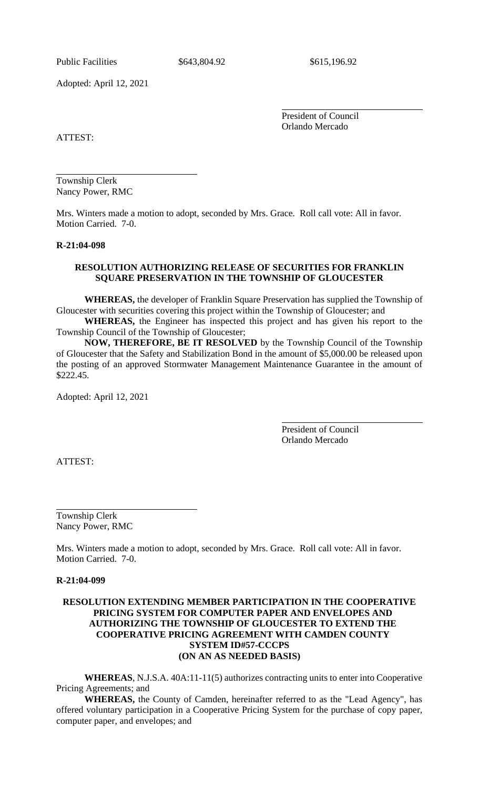Public Facilities  $$643,804.92$   $$615,196.92$ 

Adopted: April 12, 2021

President of Council Orlando Mercado

ATTEST:

Township Clerk Nancy Power, RMC

Mrs. Winters made a motion to adopt, seconded by Mrs. Grace. Roll call vote: All in favor. Motion Carried. 7-0.

#### **R-21:04-098**

## **RESOLUTION AUTHORIZING RELEASE OF SECURITIES FOR FRANKLIN SQUARE PRESERVATION IN THE TOWNSHIP OF GLOUCESTER**

**WHEREAS,** the developer of Franklin Square Preservation has supplied the Township of Gloucester with securities covering this project within the Township of Gloucester; and

**WHEREAS,** the Engineer has inspected this project and has given his report to the Township Council of the Township of Gloucester;

**NOW, THEREFORE, BE IT RESOLVED** by the Township Council of the Township of Gloucester that the Safety and Stabilization Bond in the amount of \$5,000.00 be released upon the posting of an approved Stormwater Management Maintenance Guarantee in the amount of \$222.45.

Adopted: April 12, 2021

President of Council Orlando Mercado

ATTEST:

Township Clerk Nancy Power, RMC

Mrs. Winters made a motion to adopt, seconded by Mrs. Grace. Roll call vote: All in favor. Motion Carried. 7-0.

#### **R-21:04-099**

## **RESOLUTION EXTENDING MEMBER PARTICIPATION IN THE COOPERATIVE PRICING SYSTEM FOR COMPUTER PAPER AND ENVELOPES AND AUTHORIZING THE TOWNSHIP OF GLOUCESTER TO EXTEND THE COOPERATIVE PRICING AGREEMENT WITH CAMDEN COUNTY SYSTEM ID#57-CCCPS (ON AN AS NEEDED BASIS)**

**WHEREAS**, N.J.S.A. 40A:11-11(5) authorizes contracting units to enter into Cooperative Pricing Agreements; and

**WHEREAS,** the County of Camden, hereinafter referred to as the "Lead Agency", has offered voluntary participation in a Cooperative Pricing System for the purchase of copy paper, computer paper, and envelopes; and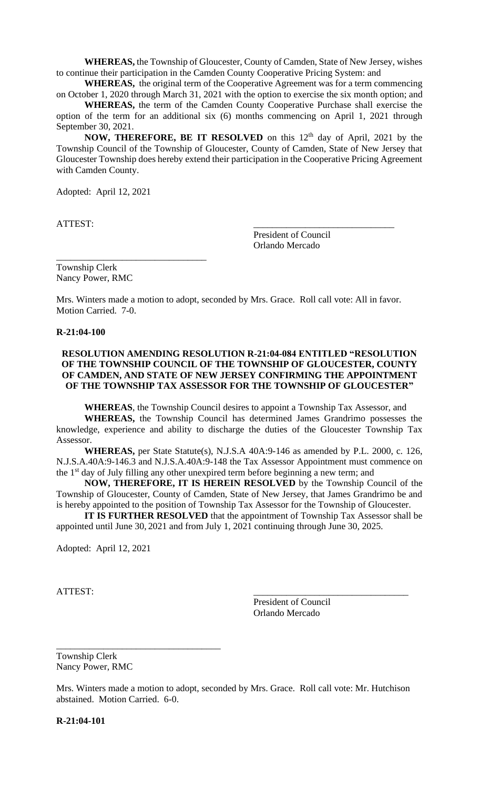**WHEREAS,** the Township of Gloucester, County of Camden, State of New Jersey, wishes to continue their participation in the Camden County Cooperative Pricing System: and

**WHEREAS,** the original term of the Cooperative Agreement was for a term commencing on October 1, 2020 through March 31, 2021 with the option to exercise the six month option; and

**WHEREAS,** the term of the Camden County Cooperative Purchase shall exercise the option of the term for an additional six (6) months commencing on April 1, 2021 through September 30, 2021.

NOW, THEREFORE, BE IT RESOLVED on this 12<sup>th</sup> day of April, 2021 by the Township Council of the Township of Gloucester, County of Camden, State of New Jersey that Gloucester Township does hereby extend their participation in the Cooperative Pricing Agreement with Camden County.

Adopted: April 12, 2021

ATTEST:

President of Council Orlando Mercado

Township Clerk Nancy Power, RMC

\_\_\_\_\_\_\_\_\_\_\_\_\_\_\_\_\_\_\_\_\_\_\_\_\_\_\_\_\_\_\_\_

Mrs. Winters made a motion to adopt, seconded by Mrs. Grace. Roll call vote: All in favor. Motion Carried. 7-0.

**R-21:04-100**

## **RESOLUTION AMENDING RESOLUTION R-21:04-084 ENTITLED "RESOLUTION OF THE TOWNSHIP COUNCIL OF THE TOWNSHIP OF GLOUCESTER, COUNTY OF CAMDEN, AND STATE OF NEW JERSEY CONFIRMING THE APPOINTMENT OF THE TOWNSHIP TAX ASSESSOR FOR THE TOWNSHIP OF GLOUCESTER"**

**WHEREAS**, the Township Council desires to appoint a Township Tax Assessor, and

**WHEREAS,** the Township Council has determined James Grandrimo possesses the knowledge, experience and ability to discharge the duties of the Gloucester Township Tax Assessor.

**WHEREAS,** per State Statute(s), N.J.S.A 40A:9-146 as amended by P.L. 2000, c. 126, N.J.S.A.40A:9-146.3 and N.J.S.A.40A:9-148 the Tax Assessor Appointment must commence on the 1<sup>st</sup> day of July filling any other unexpired term before beginning a new term; and

**NOW, THEREFORE, IT IS HEREIN RESOLVED** by the Township Council of the Township of Gloucester, County of Camden, State of New Jersey, that James Grandrimo be and is hereby appointed to the position of Township Tax Assessor for the Township of Gloucester.

**IT IS FURTHER RESOLVED** that the appointment of Township Tax Assessor shall be appointed until June 30, 2021 and from July 1, 2021 continuing through June 30, 2025.

Adopted: April 12, 2021

ATTEST:

President of Council Orlando Mercado

Township Clerk Nancy Power, RMC

\_\_\_\_\_\_\_\_\_\_\_\_\_\_\_\_\_\_\_\_\_\_\_\_\_\_\_\_\_\_\_\_\_\_\_

Mrs. Winters made a motion to adopt, seconded by Mrs. Grace. Roll call vote: Mr. Hutchison abstained. Motion Carried. 6-0.

**R-21:04-101**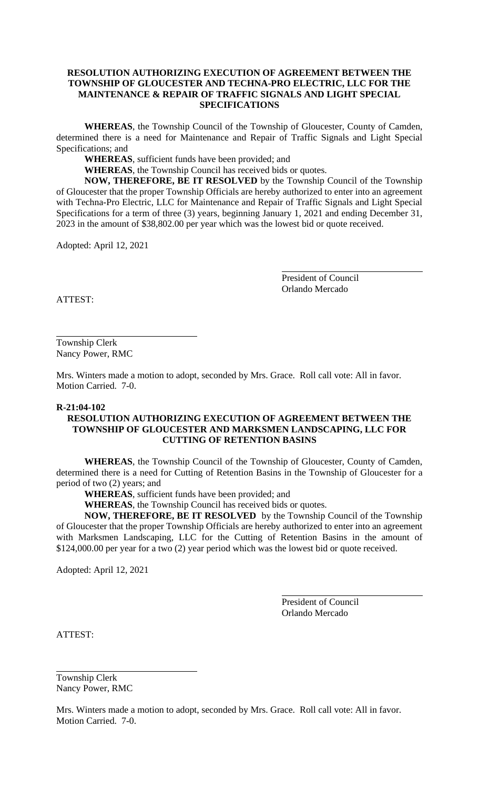## **RESOLUTION AUTHORIZING EXECUTION OF AGREEMENT BETWEEN THE TOWNSHIP OF GLOUCESTER AND TECHNA-PRO ELECTRIC, LLC FOR THE MAINTENANCE & REPAIR OF TRAFFIC SIGNALS AND LIGHT SPECIAL SPECIFICATIONS**

**WHEREAS**, the Township Council of the Township of Gloucester, County of Camden, determined there is a need for Maintenance and Repair of Traffic Signals and Light Special Specifications; and

**WHEREAS**, sufficient funds have been provided; and

**WHEREAS**, the Township Council has received bids or quotes.

**NOW, THEREFORE, BE IT RESOLVED** by the Township Council of the Township of Gloucester that the proper Township Officials are hereby authorized to enter into an agreement with Techna-Pro Electric, LLC for Maintenance and Repair of Traffic Signals and Light Special Specifications for a term of three (3) years, beginning January 1, 2021 and ending December 31, 2023 in the amount of \$38,802.00 per year which was the lowest bid or quote received.

Adopted: April 12, 2021

President of Council Orlando Mercado

ATTEST:

Township Clerk Nancy Power, RMC

Mrs. Winters made a motion to adopt, seconded by Mrs. Grace. Roll call vote: All in favor. Motion Carried. 7-0.

#### **R-21:04-102**

## **RESOLUTION AUTHORIZING EXECUTION OF AGREEMENT BETWEEN THE TOWNSHIP OF GLOUCESTER AND MARKSMEN LANDSCAPING, LLC FOR CUTTING OF RETENTION BASINS**

**WHEREAS**, the Township Council of the Township of Gloucester, County of Camden, determined there is a need for Cutting of Retention Basins in the Township of Gloucester for a period of two (2) years; and

**WHEREAS**, sufficient funds have been provided; and

**WHEREAS**, the Township Council has received bids or quotes.

**NOW, THEREFORE, BE IT RESOLVED** by the Township Council of the Township of Gloucester that the proper Township Officials are hereby authorized to enter into an agreement with Marksmen Landscaping, LLC for the Cutting of Retention Basins in the amount of \$124,000.00 per year for a two (2) year period which was the lowest bid or quote received.

Adopted: April 12, 2021

President of Council Orlando Mercado

ATTEST:

Township Clerk Nancy Power, RMC

Mrs. Winters made a motion to adopt, seconded by Mrs. Grace. Roll call vote: All in favor. Motion Carried. 7-0.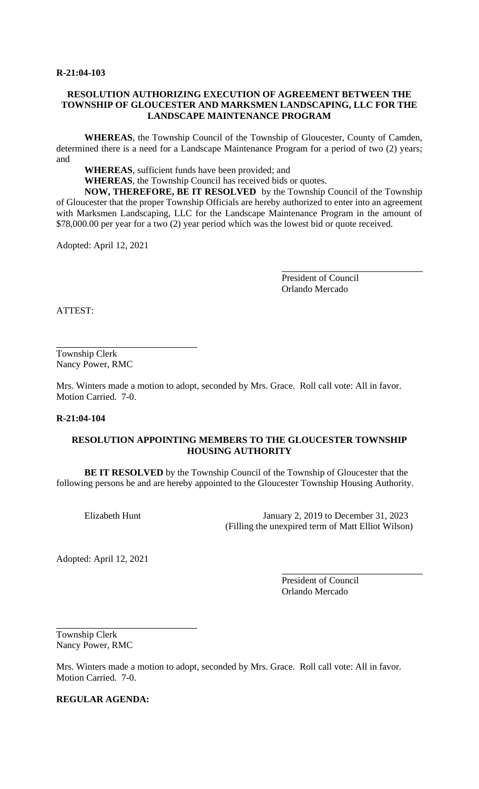### **R-21:04-103**

## **RESOLUTION AUTHORIZING EXECUTION OF AGREEMENT BETWEEN THE TOWNSHIP OF GLOUCESTER AND MARKSMEN LANDSCAPING, LLC FOR THE LANDSCAPE MAINTENANCE PROGRAM**

**WHEREAS**, the Township Council of the Township of Gloucester, County of Camden, determined there is a need for a Landscape Maintenance Program for a period of two (2) years; and

**WHEREAS**, sufficient funds have been provided; and

**WHEREAS**, the Township Council has received bids or quotes.

**NOW, THEREFORE, BE IT RESOLVED** by the Township Council of the Township of Gloucester that the proper Township Officials are hereby authorized to enter into an agreement with Marksmen Landscaping, LLC for the Landscape Maintenance Program in the amount of \$78,000.00 per year for a two (2) year period which was the lowest bid or quote received.

Adopted: April 12, 2021

President of Council Orlando Mercado

ATTEST:

Township Clerk Nancy Power, RMC

Mrs. Winters made a motion to adopt, seconded by Mrs. Grace. Roll call vote: All in favor. Motion Carried. 7-0.

#### **R-21:04-104**

## **RESOLUTION APPOINTING MEMBERS TO THE GLOUCESTER TOWNSHIP HOUSING AUTHORITY**

**BE IT RESOLVED** by the Township Council of the Township of Gloucester that the following persons be and are hereby appointed to the Gloucester Township Housing Authority.

Elizabeth Hunt January 2, 2019 to December 31, 2023 (Filling the unexpired term of Matt Elliot Wilson)

Adopted: April 12, 2021

President of Council Orlando Mercado

Township Clerk Nancy Power, RMC

Mrs. Winters made a motion to adopt, seconded by Mrs. Grace. Roll call vote: All in favor. Motion Carried. 7-0.

**REGULAR AGENDA:**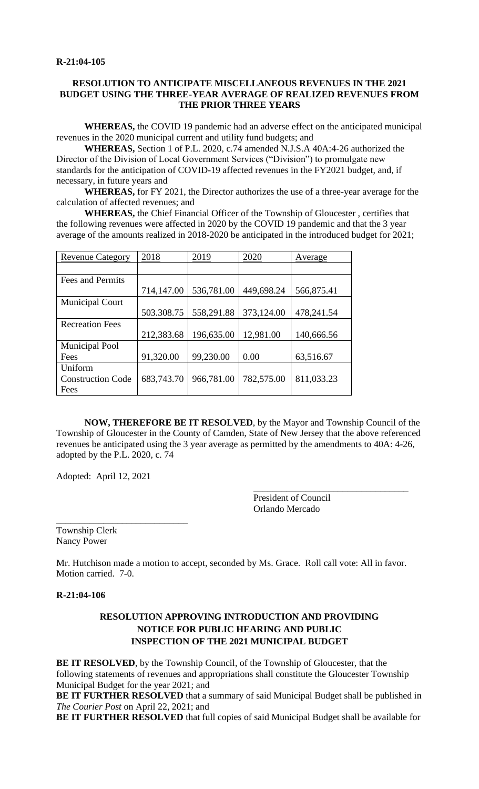## **RESOLUTION TO ANTICIPATE MISCELLANEOUS REVENUES IN THE 2021 BUDGET USING THE THREE-YEAR AVERAGE OF REALIZED REVENUES FROM THE PRIOR THREE YEARS**

**WHEREAS,** the COVID 19 pandemic had an adverse effect on the anticipated municipal revenues in the 2020 municipal current and utility fund budgets; and

**WHEREAS,** Section 1 of P.L. 2020, c.74 amended N.J.S.A 40A:4-26 authorized the Director of the Division of Local Government Services ("Division") to promulgate new standards for the anticipation of COVID-19 affected revenues in the FY2021 budget, and, if necessary, in future years and

**WHEREAS,** for FY 2021, the Director authorizes the use of a three-year average for the calculation of affected revenues; and

**WHEREAS,** the Chief Financial Officer of the Township of Gloucester , certifies that the following revenues were affected in 2020 by the COVID 19 pandemic and that the 3 year average of the amounts realized in 2018-2020 be anticipated in the introduced budget for 2021;

| <b>Revenue Category</b>  | 2018       | 2019       | 2020       | Average    |
|--------------------------|------------|------------|------------|------------|
|                          |            |            |            |            |
| Fees and Permits         |            |            |            |            |
|                          | 714,147.00 | 536,781.00 | 449,698.24 | 566,875.41 |
| <b>Municipal Court</b>   |            |            |            |            |
|                          | 503.308.75 | 558,291.88 | 373,124.00 | 478,241.54 |
| <b>Recreation Fees</b>   |            |            |            |            |
|                          | 212,383.68 | 196,635.00 | 12,981.00  | 140,666.56 |
| <b>Municipal Pool</b>    |            |            |            |            |
| Fees                     | 91,320.00  | 99,230.00  | 0.00       | 63,516.67  |
| Uniform                  |            |            |            |            |
| <b>Construction Code</b> | 683,743.70 | 966,781.00 | 782,575.00 | 811,033.23 |
| Fees                     |            |            |            |            |

**NOW, THEREFORE BE IT RESOLVED**, by the Mayor and Township Council of the Township of Gloucester in the County of Camden, State of New Jersey that the above referenced revenues be anticipated using the 3 year average as permitted by the amendments to 40A: 4-26, adopted by the P.L. 2020, c. 74

Adopted: April 12, 2021

President of Council Orlando Mercado

\_\_\_\_\_\_\_\_\_\_\_\_\_\_\_\_\_\_\_\_\_\_\_\_\_\_\_\_\_\_\_\_\_

\_\_\_\_\_\_\_\_\_\_\_\_\_\_\_\_\_\_\_\_\_\_\_\_\_\_\_\_ Township Clerk Nancy Power

Mr. Hutchison made a motion to accept, seconded by Ms. Grace. Roll call vote: All in favor. Motion carried. 7-0.

#### **R-21:04-106**

# **RESOLUTION APPROVING INTRODUCTION AND PROVIDING NOTICE FOR PUBLIC HEARING AND PUBLIC INSPECTION OF THE 2021 MUNICIPAL BUDGET**

**BE IT RESOLVED**, by the Township Council, of the Township of Gloucester, that the following statements of revenues and appropriations shall constitute the Gloucester Township Municipal Budget for the year 2021; and

**BE IT FURTHER RESOLVED** that a summary of said Municipal Budget shall be published in *The Courier Post* on April 22, 2021; and

**BE IT FURTHER RESOLVED** that full copies of said Municipal Budget shall be available for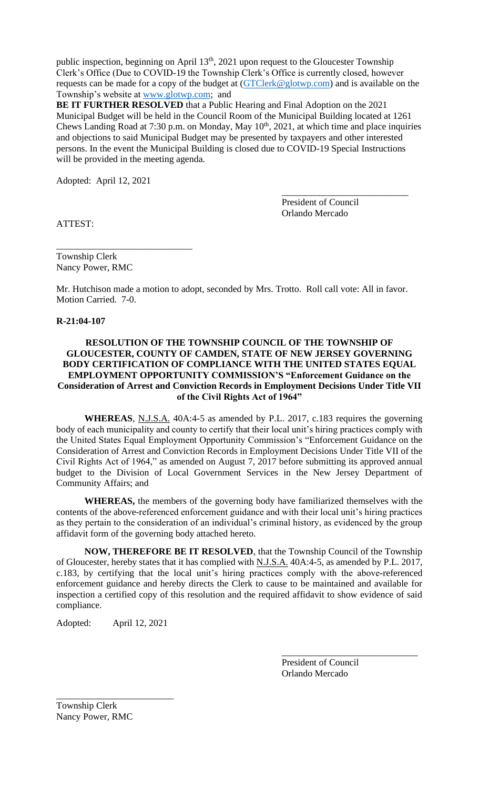public inspection, beginning on April 13<sup>th</sup>, 2021 upon request to the Gloucester Township Clerk's Office (Due to COVID-19 the Township Clerk's Office is currently closed, however requests can be made for a copy of the budget at [\(GTClerk@glotwp.com\)](mailto:GTClerk@glotwp.com) and is available on the Township's website at [www.glotwp.com;](http://www.glotwp.com/) and

**BE IT FURTHER RESOLVED** that a Public Hearing and Final Adoption on the 2021 Municipal Budget will be held in the Council Room of the Municipal Building located at 1261 Chews Landing Road at 7:30 p.m. on Monday, May 10<sup>th</sup>, 2021, at which time and place inquiries and objections to said Municipal Budget may be presented by taxpayers and other interested persons. In the event the Municipal Building is closed due to COVID-19 Special Instructions will be provided in the meeting agenda.

Adopted: April 12, 2021

ATTEST:

President of Council Orlando Mercado

\_\_\_\_\_\_\_\_\_\_\_\_\_\_\_\_\_\_\_\_\_\_\_\_\_\_\_

Township Clerk Nancy Power, RMC

\_\_\_\_\_\_\_\_\_\_\_\_\_\_\_\_\_\_\_\_\_\_\_\_\_\_\_\_\_

Mr. Hutchison made a motion to adopt, seconded by Mrs. Trotto. Roll call vote: All in favor. Motion Carried. 7-0.

## **R-21:04-107**

## **RESOLUTION OF THE TOWNSHIP COUNCIL OF THE TOWNSHIP OF GLOUCESTER, COUNTY OF CAMDEN, STATE OF NEW JERSEY GOVERNING BODY CERTIFICATION OF COMPLIANCE WITH THE UNITED STATES EQUAL EMPLOYMENT OPPORTUNITY COMMISSION'S "Enforcement Guidance on the Consideration of Arrest and Conviction Records in Employment Decisions Under Title VII of the Civil Rights Act of 1964"**

**WHEREAS**, N.J.S.A. 40A:4-5 as amended by P.L. 2017, c.183 requires the governing body of each municipality and county to certify that their local unit's hiring practices comply with the United States Equal Employment Opportunity Commission's "Enforcement Guidance on the Consideration of Arrest and Conviction Records in Employment Decisions Under Title VII of the Civil Rights Act of 1964," as amended on August 7, 2017 before submitting its approved annual budget to the Division of Local Government Services in the New Jersey Department of Community Affairs; and

**WHEREAS,** the members of the governing body have familiarized themselves with the contents of the above-referenced enforcement guidance and with their local unit's hiring practices as they pertain to the consideration of an individual's criminal history, as evidenced by the group affidavit form of the governing body attached hereto.

**NOW, THEREFORE BE IT RESOLVED**, that the Township Council of the Township of Gloucester, hereby states that it has complied with N.J.S.A. 40A:4-5, as amended by P.L. 2017, c.183, by certifying that the local unit's hiring practices comply with the above-referenced enforcement guidance and hereby directs the Clerk to cause to be maintained and available for inspection a certified copy of this resolution and the required affidavit to show evidence of said compliance.

Adopted: April 12, 2021

\_\_\_\_\_\_\_\_\_\_\_\_\_\_\_\_\_\_\_\_\_\_\_\_\_

President of Council Orlando Mercado

\_\_\_\_\_\_\_\_\_\_\_\_\_\_\_\_\_\_\_\_\_\_\_\_\_\_\_\_\_

Township Clerk Nancy Power, RMC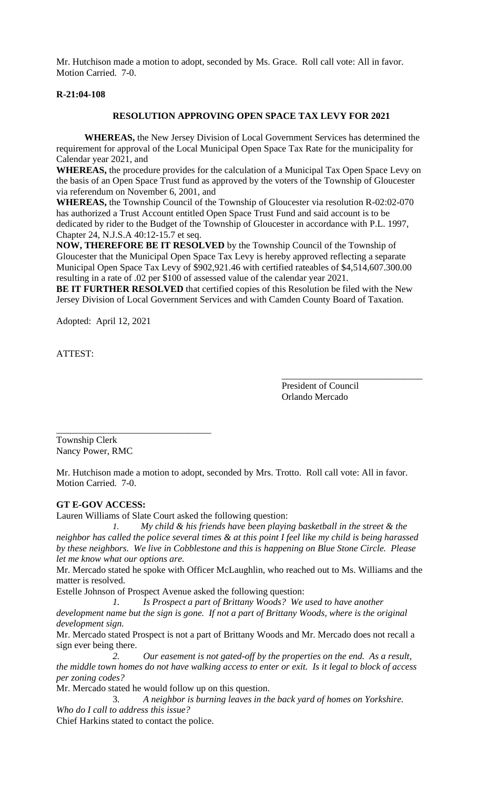Mr. Hutchison made a motion to adopt, seconded by Ms. Grace. Roll call vote: All in favor. Motion Carried. 7-0.

## **R-21:04-108**

### **RESOLUTION APPROVING OPEN SPACE TAX LEVY FOR 2021**

**WHEREAS,** the New Jersey Division of Local Government Services has determined the requirement for approval of the Local Municipal Open Space Tax Rate for the municipality for Calendar year 2021, and

**WHEREAS,** the procedure provides for the calculation of a Municipal Tax Open Space Levy on the basis of an Open Space Trust fund as approved by the voters of the Township of Gloucester via referendum on November 6, 2001, and

**WHEREAS,** the Township Council of the Township of Gloucester via resolution R-02:02-070 has authorized a Trust Account entitled Open Space Trust Fund and said account is to be dedicated by rider to the Budget of the Township of Gloucester in accordance with P.L. 1997, Chapter 24, N.J.S.A 40:12-15.7 et seq.

**NOW, THEREFORE BE IT RESOLVED** by the Township Council of the Township of Gloucester that the Municipal Open Space Tax Levy is hereby approved reflecting a separate Municipal Open Space Tax Levy of \$902,921.46 with certified rateables of \$4,514,607.300.00 resulting in a rate of .02 per \$100 of assessed value of the calendar year 2021.

**BE IT FURTHER RESOLVED** that certified copies of this Resolution be filed with the New Jersey Division of Local Government Services and with Camden County Board of Taxation.

Adopted: April 12, 2021

ATTEST:

President of Council Orlando Mercado

\_\_\_\_\_\_\_\_\_\_\_\_\_\_\_\_\_\_\_\_\_\_\_\_\_\_\_\_\_\_

Township Clerk Nancy Power, RMC

\_\_\_\_\_\_\_\_\_\_\_\_\_\_\_\_\_\_\_\_\_\_\_\_\_\_\_\_\_\_\_\_\_

Mr. Hutchison made a motion to adopt, seconded by Mrs. Trotto. Roll call vote: All in favor. Motion Carried. 7-0.

#### **GT E-GOV ACCESS:**

Lauren Williams of Slate Court asked the following question:

*1. My child & his friends have been playing basketball in the street & the neighbor has called the police several times & at this point I feel like my child is being harassed by these neighbors. We live in Cobblestone and this is happening on Blue Stone Circle. Please let me know what our options are.*

Mr. Mercado stated he spoke with Officer McLaughlin, who reached out to Ms. Williams and the matter is resolved.

Estelle Johnson of Prospect Avenue asked the following question:

*1. Is Prospect a part of Brittany Woods? We used to have another development name but the sign is gone. If not a part of Brittany Woods, where is the original development sign.* 

Mr. Mercado stated Prospect is not a part of Brittany Woods and Mr. Mercado does not recall a sign ever being there.

*2. Our easement is not gated-off by the properties on the end. As a result, the middle town homes do not have walking access to enter or exit. Is it legal to block of access per zoning codes?*

Mr. Mercado stated he would follow up on this question.

3. *A neighbor is burning leaves in the back yard of homes on Yorkshire. Who do I call to address this issue?*

Chief Harkins stated to contact the police.